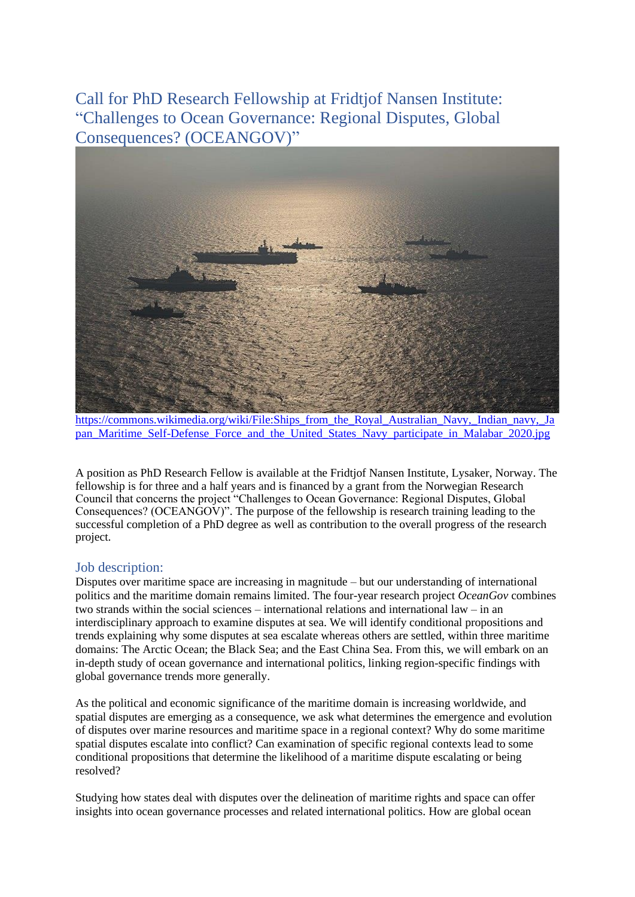Call for PhD Research Fellowship at Fridtjof Nansen Institute: "Challenges to Ocean Governance: Regional Disputes, Global Consequences? (OCEANGOV)"



[https://commons.wikimedia.org/wiki/File:Ships\\_from\\_the\\_Royal\\_Australian\\_Navy,\\_Indian\\_navy,\\_Ja](https://commons.wikimedia.org/wiki/File:Ships_from_the_Royal_Australian_Navy,_Indian_navy,_Japan_Maritime_Self-Defense_Force_and_the_United_States_Navy_participate_in_Malabar_2020.jpg) [pan\\_Maritime\\_Self-Defense\\_Force\\_and\\_the\\_United\\_States\\_Navy\\_participate\\_in\\_Malabar\\_2020.jpg](https://commons.wikimedia.org/wiki/File:Ships_from_the_Royal_Australian_Navy,_Indian_navy,_Japan_Maritime_Self-Defense_Force_and_the_United_States_Navy_participate_in_Malabar_2020.jpg)

A position as PhD Research Fellow is available at the Fridtjof Nansen Institute, Lysaker, Norway. The fellowship is for three and a half years and is financed by a grant from the Norwegian Research Council that concerns the project "Challenges to Ocean Governance: Regional Disputes, Global Consequences? (OCEANGOV)". The purpose of the fellowship is research training leading to the successful completion of a PhD degree as well as contribution to the overall progress of the research project.

### Job description:

Disputes over maritime space are increasing in magnitude – but our understanding of international politics and the maritime domain remains limited. The four-year research project *OceanGov* combines two strands within the social sciences – international relations and international law – in an interdisciplinary approach to examine disputes at sea. We will identify conditional propositions and trends explaining why some disputes at sea escalate whereas others are settled, within three maritime domains: The Arctic Ocean; the Black Sea; and the East China Sea. From this, we will embark on an in-depth study of ocean governance and international politics, linking region-specific findings with global governance trends more generally.

As the political and economic significance of the maritime domain is increasing worldwide, and spatial disputes are emerging as a consequence, we ask what determines the emergence and evolution of disputes over marine resources and maritime space in a regional context? Why do some maritime spatial disputes escalate into conflict? Can examination of specific regional contexts lead to some conditional propositions that determine the likelihood of a maritime dispute escalating or being resolved?

Studying how states deal with disputes over the delineation of maritime rights and space can offer insights into ocean governance processes and related international politics. How are global ocean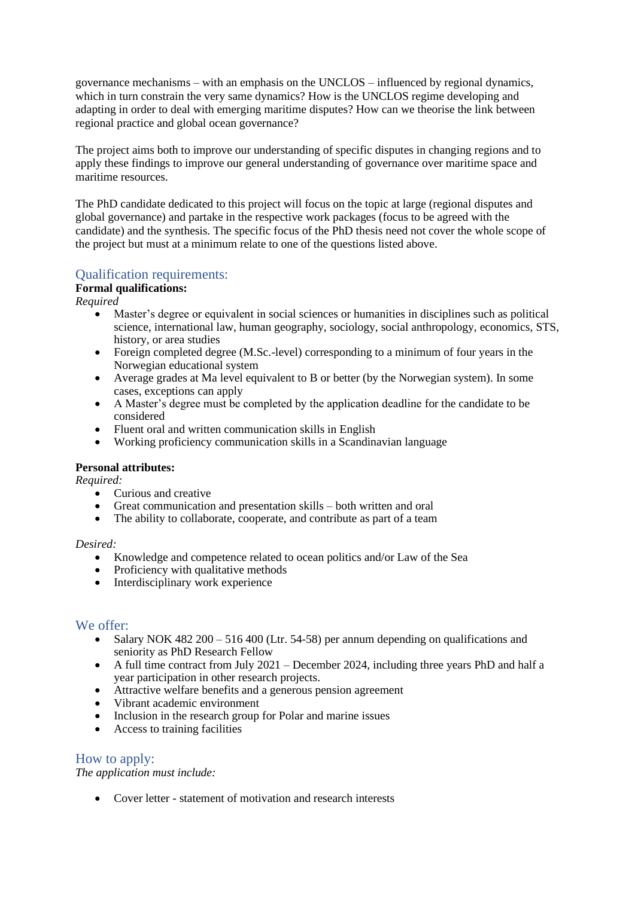governance mechanisms – with an emphasis on the UNCLOS – influenced by regional dynamics, which in turn constrain the very same dynamics? How is the UNCLOS regime developing and adapting in order to deal with emerging maritime disputes? How can we theorise the link between regional practice and global ocean governance?

The project aims both to improve our understanding of specific disputes in changing regions and to apply these findings to improve our general understanding of governance over maritime space and maritime resources.

The PhD candidate dedicated to this project will focus on the topic at large (regional disputes and global governance) and partake in the respective work packages (focus to be agreed with the candidate) and the synthesis. The specific focus of the PhD thesis need not cover the whole scope of the project but must at a minimum relate to one of the questions listed above.

# Qualification requirements:

# **Formal qualifications:**

*Required*

- Master's degree or equivalent in social sciences or humanities in disciplines such as political science, international law, human geography, sociology, social anthropology, economics, STS, history, or area studies
- Foreign completed degree (M.Sc.-level) corresponding to a minimum of four years in the Norwegian educational system
- Average grades at Ma level equivalent to B or better (by the Norwegian system). In some cases, exceptions can apply
- A Master's degree must be completed by the application deadline for the candidate to be considered
- Fluent oral and written communication skills in English
- Working proficiency communication skills in a Scandinavian language

### **Personal attributes:**

*Required:* 

- Curious and creative
- Great communication and presentation skills both written and oral
- The ability to collaborate, cooperate, and contribute as part of a team

#### *Desired:*

- Knowledge and competence related to ocean politics and/or Law of the Sea
- Proficiency with qualitative methods
- Interdisciplinary work experience

### We offer:

- Salary NOK 482 200 516 400 (Ltr. 54-58) per annum depending on qualifications and seniority as PhD Research Fellow
- A full time contract from July 2021 December 2024, including three years PhD and half a year participation in other research projects.
- Attractive welfare benefits and a generous pension agreement
- Vibrant academic environment
- Inclusion in the research group for Polar and marine issues
- Access to training facilities

### How to apply:

*The application must include:*

• Cover letter - statement of motivation and research interests